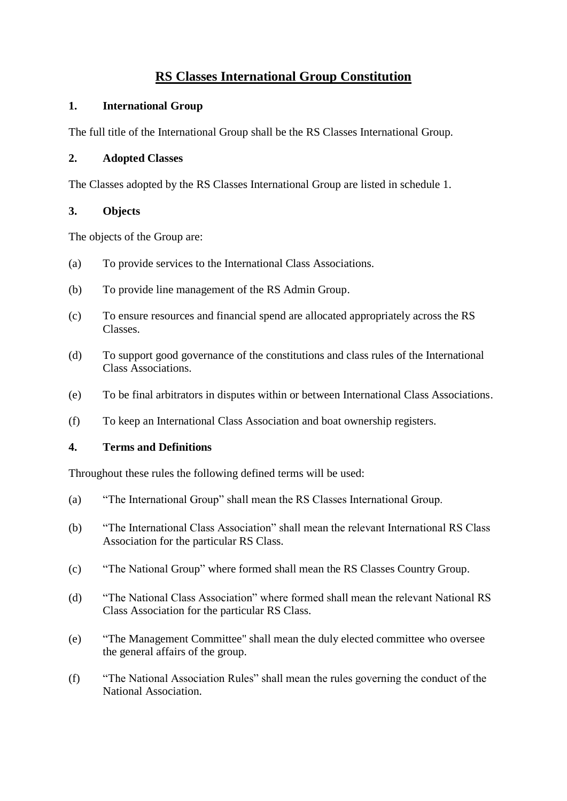# **RS Classes International Group Constitution**

# **1. International Group**

The full title of the International Group shall be the RS Classes International Group.

### **2. Adopted Classes**

The Classes adopted by the RS Classes International Group are listed in schedule 1.

# **3. Objects**

The objects of the Group are:

- (a) To provide services to the International Class Associations.
- (b) To provide line management of the RS Admin Group.
- (c) To ensure resources and financial spend are allocated appropriately across the RS Classes.
- (d) To support good governance of the constitutions and class rules of the International Class Associations.
- (e) To be final arbitrators in disputes within or between International Class Associations.
- (f) To keep an International Class Association and boat ownership registers.

# **4. Terms and Definitions**

Throughout these rules the following defined terms will be used:

- (a) "The International Group" shall mean the RS Classes International Group.
- (b) "The International Class Association" shall mean the relevant International RS Class Association for the particular RS Class.
- (c) "The National Group" where formed shall mean the RS Classes Country Group.
- (d) "The National Class Association" where formed shall mean the relevant National RS Class Association for the particular RS Class.
- (e) "The Management Committee" shall mean the duly elected committee who oversee the general affairs of the group.
- (f) "The National Association Rules" shall mean the rules governing the conduct of the National Association.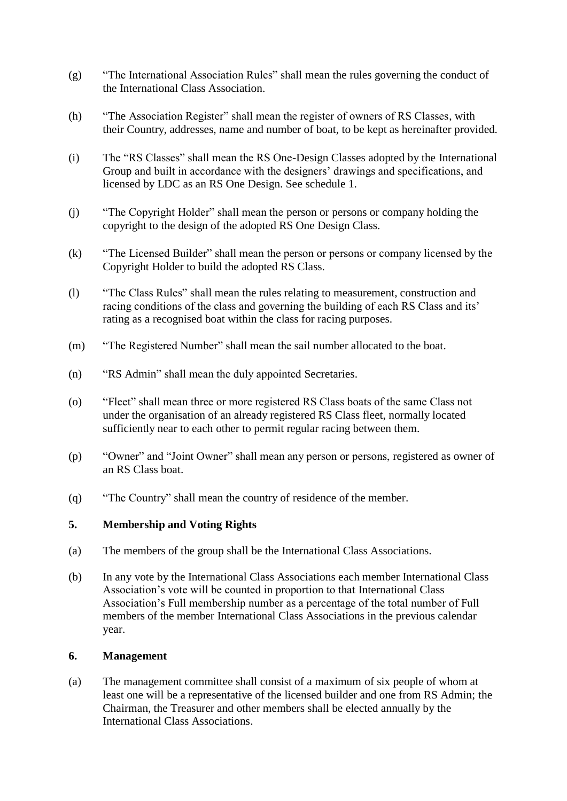- (g) "The International Association Rules" shall mean the rules governing the conduct of the International Class Association.
- (h) "The Association Register" shall mean the register of owners of RS Classes, with their Country, addresses, name and number of boat, to be kept as hereinafter provided.
- (i) The "RS Classes" shall mean the RS One-Design Classes adopted by the International Group and built in accordance with the designers' drawings and specifications, and licensed by LDC as an RS One Design. See schedule 1.
- (j) "The Copyright Holder" shall mean the person or persons or company holding the copyright to the design of the adopted RS One Design Class.
- (k) "The Licensed Builder" shall mean the person or persons or company licensed by the Copyright Holder to build the adopted RS Class.
- (l) "The Class Rules" shall mean the rules relating to measurement, construction and racing conditions of the class and governing the building of each RS Class and its' rating as a recognised boat within the class for racing purposes.
- (m) "The Registered Number" shall mean the sail number allocated to the boat.
- (n) "RS Admin" shall mean the duly appointed Secretaries.
- (o) "Fleet" shall mean three or more registered RS Class boats of the same Class not under the organisation of an already registered RS Class fleet, normally located sufficiently near to each other to permit regular racing between them.
- (p) "Owner" and "Joint Owner" shall mean any person or persons, registered as owner of an RS Class boat.
- (q) "The Country" shall mean the country of residence of the member.

#### **5. Membership and Voting Rights**

- (a) The members of the group shall be the International Class Associations.
- (b) In any vote by the International Class Associations each member International Class Association's vote will be counted in proportion to that International Class Association's Full membership number as a percentage of the total number of Full members of the member International Class Associations in the previous calendar year.

#### **6. Management**

(a) The management committee shall consist of a maximum of six people of whom at least one will be a representative of the licensed builder and one from RS Admin; the Chairman, the Treasurer and other members shall be elected annually by the International Class Associations.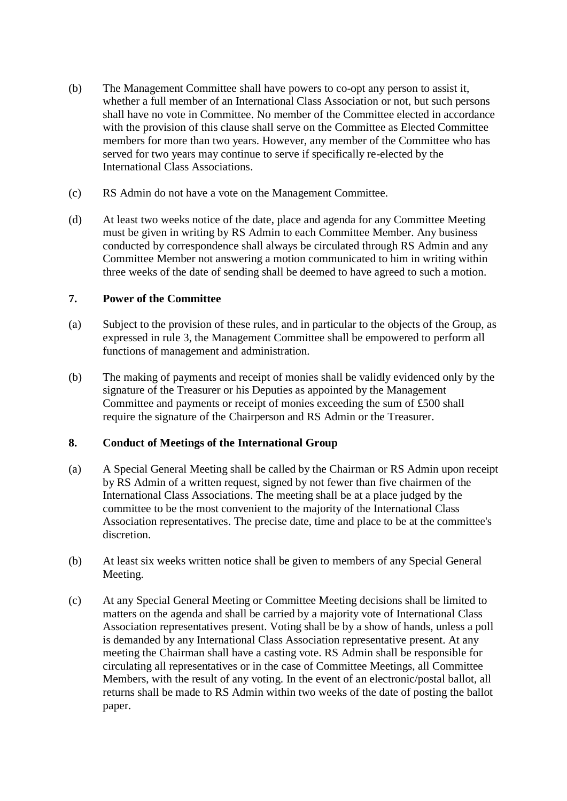- (b) The Management Committee shall have powers to co-opt any person to assist it, whether a full member of an International Class Association or not, but such persons shall have no vote in Committee. No member of the Committee elected in accordance with the provision of this clause shall serve on the Committee as Elected Committee members for more than two years. However, any member of the Committee who has served for two years may continue to serve if specifically re-elected by the International Class Associations.
- (c) RS Admin do not have a vote on the Management Committee.
- (d) At least two weeks notice of the date, place and agenda for any Committee Meeting must be given in writing by RS Admin to each Committee Member. Any business conducted by correspondence shall always be circulated through RS Admin and any Committee Member not answering a motion communicated to him in writing within three weeks of the date of sending shall be deemed to have agreed to such a motion.

### **7. Power of the Committee**

- (a) Subject to the provision of these rules, and in particular to the objects of the Group, as expressed in rule 3, the Management Committee shall be empowered to perform all functions of management and administration.
- (b) The making of payments and receipt of monies shall be validly evidenced only by the signature of the Treasurer or his Deputies as appointed by the Management Committee and payments or receipt of monies exceeding the sum of £500 shall require the signature of the Chairperson and RS Admin or the Treasurer.

# **8. Conduct of Meetings of the International Group**

- (a) A Special General Meeting shall be called by the Chairman or RS Admin upon receipt by RS Admin of a written request, signed by not fewer than five chairmen of the International Class Associations. The meeting shall be at a place judged by the committee to be the most convenient to the majority of the International Class Association representatives. The precise date, time and place to be at the committee's discretion.
- (b) At least six weeks written notice shall be given to members of any Special General Meeting.
- (c) At any Special General Meeting or Committee Meeting decisions shall be limited to matters on the agenda and shall be carried by a majority vote of International Class Association representatives present. Voting shall be by a show of hands, unless a poll is demanded by any International Class Association representative present. At any meeting the Chairman shall have a casting vote. RS Admin shall be responsible for circulating all representatives or in the case of Committee Meetings, all Committee Members, with the result of any voting. In the event of an electronic/postal ballot, all returns shall be made to RS Admin within two weeks of the date of posting the ballot paper.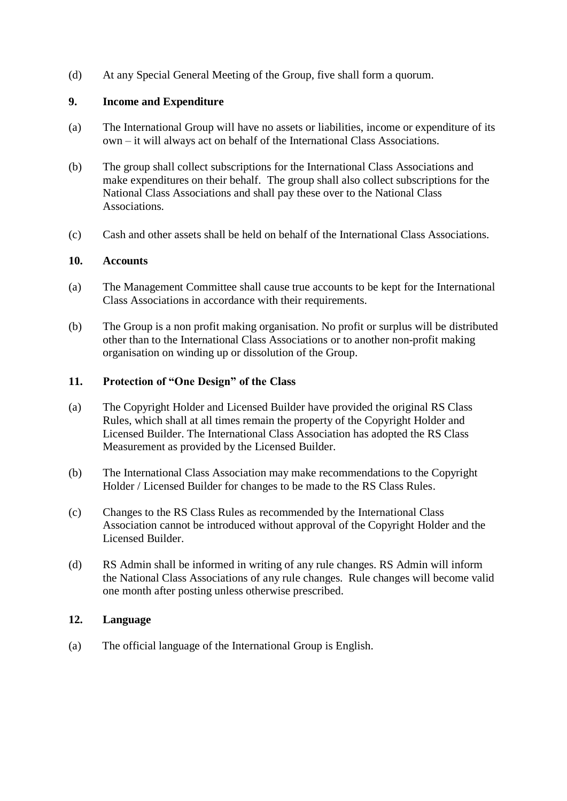(d) At any Special General Meeting of the Group, five shall form a quorum.

### **9. Income and Expenditure**

- (a) The International Group will have no assets or liabilities, income or expenditure of its own – it will always act on behalf of the International Class Associations.
- (b) The group shall collect subscriptions for the International Class Associations and make expenditures on their behalf. The group shall also collect subscriptions for the National Class Associations and shall pay these over to the National Class Associations.
- (c) Cash and other assets shall be held on behalf of the International Class Associations.

### **10. Accounts**

- (a) The Management Committee shall cause true accounts to be kept for the International Class Associations in accordance with their requirements.
- (b) The Group is a non profit making organisation. No profit or surplus will be distributed other than to the International Class Associations or to another non-profit making organisation on winding up or dissolution of the Group.

### **11. Protection of "One Design" of the Class**

- (a) The Copyright Holder and Licensed Builder have provided the original RS Class Rules, which shall at all times remain the property of the Copyright Holder and Licensed Builder. The International Class Association has adopted the RS Class Measurement as provided by the Licensed Builder.
- (b) The International Class Association may make recommendations to the Copyright Holder / Licensed Builder for changes to be made to the RS Class Rules.
- (c) Changes to the RS Class Rules as recommended by the International Class Association cannot be introduced without approval of the Copyright Holder and the Licensed Builder.
- (d) RS Admin shall be informed in writing of any rule changes. RS Admin will inform the National Class Associations of any rule changes. Rule changes will become valid one month after posting unless otherwise prescribed.

# **12. Language**

(a) The official language of the International Group is English.